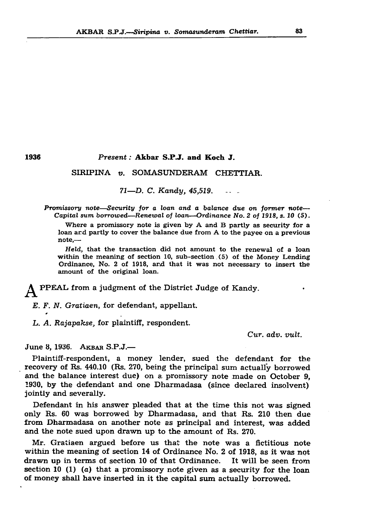## AKBAR S.P.J*.—Siripina v. Somasunderam Chettiar.* 83

## 1936 *Present:* Akbar S.P.J. and Koch J.

## SIRIPINA *v.* SOMASUNDERAM CHETTIAR.

*71—D. C. Kandy, 45,519*.............

*Promissory note—Security for a loan and a balance due on former note*— *Capital sum borrowed—Renewal of loan—Ordinance No. 2 of 1918, s. 10* (5).

Where a promissory note is given by A and B partly as security for a loan ard partly to cover the balance due from A to the payee on a previous note,—

*Held,* that the transaction did not amount to the renewal of a loan within the meaning of section 10, sub-section (5) of the Money Lending Ordinance, No. 2 of 1918, ard that it was not necessary to insert the amount of the original loan.

PPEAL from a judgment of the District Judge of Kandy.

*E. F. N. Gratiaen,* for defendant, appellant.

*L. A. Rajapakse,* for plaintiff, respondent.

*Cur. adv. vult.*

June 8, 1936. AKBAR S.P.J.—

Plaintiff-respondent, a money lender, sued the defendant for the recovery of Rs. 440.10 (Rs. 270, being the principal sum actually borrowed and the balance interest due) on a promissory note made on October 9, 1930, by the defendant and one Dharmadasa (since declared insolvent) jointly and severally.

Defendant in his answer pleaded that at the time this not was signed only Rs. 60 was borrowed by Dharmadasa, and that Rs. 210 then due from Dharmadasa on another note as principal and interest, was added and the note sued upon drawn up to the amount of Rs. 270.

Mr. Gratiaen argued before us that the note was a fictitious note within the meaning of section 14 of Ordinance No. 2 of 1918, as it was not drawn up in terms of section 10 of that Ordinance. It will be seen from section 10 (1) (a) that a promissory note given as a security for the loan of money shall have inserted in it the capital sum actually borrowed.